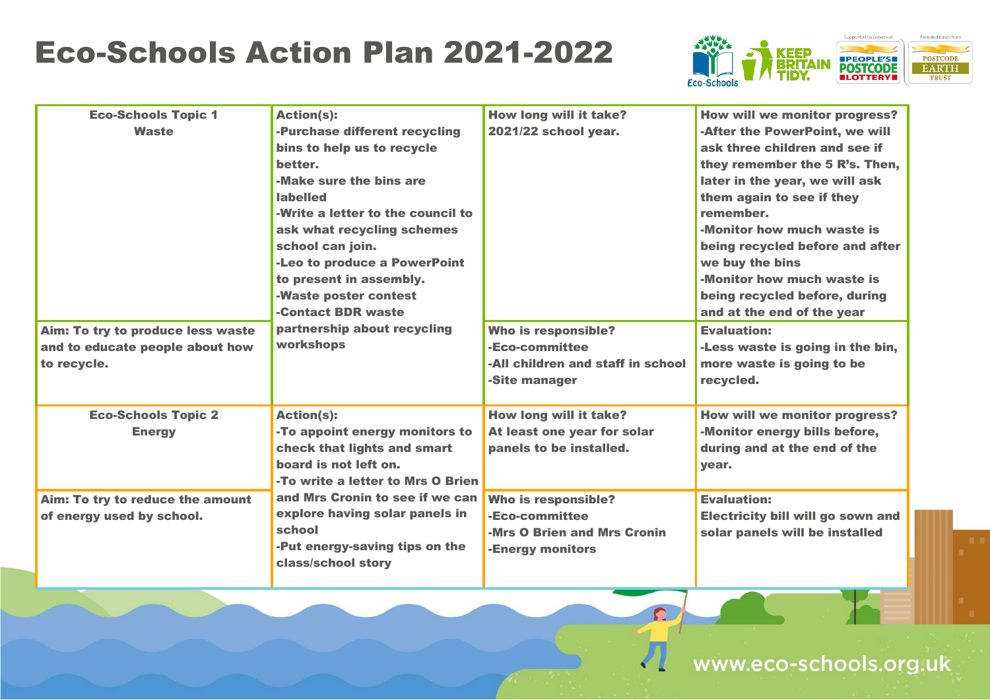## Eco-Schools Action Plan 2021-2022



| <b>Eco-Schools Topic 1</b><br><b>Waste</b><br>Aim: To try to produce less waste<br>and to educate people about how<br>to recycle. | <b>Action(s):</b><br>-Purchase different recycling<br>bins to help us to recycle<br>better.<br>-Make sure the bins are<br><b>labelled</b><br>-Write a letter to the council to<br>ask what recycling schemes<br>school can join.<br>-Leo to produce a PowerPoint<br>to present in assembly.<br>-Waste poster contest<br>-Contact BDR waste<br>partnership about recycling<br>workshops | How long will it take?<br>2021/22 school year.<br>Who is responsible?<br>-Eco-committee<br>-All children and staff in school<br>-Site manager                                | <b>How wil</b><br>-After th<br>ask thre<br>they ren<br>later in<br>them ag<br>rememb<br>-Monitor<br>being re<br>we buy<br>-Monitor<br>being re<br>and at t<br><b>Evaluati</b><br>-Less wa<br>more wa<br>recycle |
|-----------------------------------------------------------------------------------------------------------------------------------|----------------------------------------------------------------------------------------------------------------------------------------------------------------------------------------------------------------------------------------------------------------------------------------------------------------------------------------------------------------------------------------|------------------------------------------------------------------------------------------------------------------------------------------------------------------------------|-----------------------------------------------------------------------------------------------------------------------------------------------------------------------------------------------------------------|
| <b>Eco-Schools Topic 2</b><br><b>Energy</b><br>Aim: To try to reduce the amount<br>of energy used by school.                      | <b>Action(s):</b><br>-To appoint energy monitors to<br>check that lights and smart<br>board is not left on.<br>-To write a letter to Mrs O Brien<br>and Mrs Cronin to see if we can<br>explore having solar panels in<br>school<br>-Put energy-saving tips on the<br>class/school story                                                                                                | How long will it take?<br>At least one year for solar<br>panels to be installed.<br>Who is responsible?<br>-Eco-committee<br>-Mrs O Brien and Mrs Cronin<br>-Energy monitors | <b>How wil</b><br>-Monitor<br>during a<br>year.<br><b>Evaluati</b><br><b>Electric</b><br>solar pa                                                                                                               |



 $\Omega$ 

**II we monitor progress?** he PowerPoint, we will ee children and see if member the 5 R's. Then, the year, we will ask yain to see if they remember. r how much waste is ecycled before and after the bins r how much waste is ecycled before, during the end of the year ion: aste is going in the bin, aste is going to be  $d_{\scriptscriptstyle\bullet}$ 

**H** we monitor progress? r energy bills before, and at the end of the

ion: **Eity bill will go sown and nels will be installed**